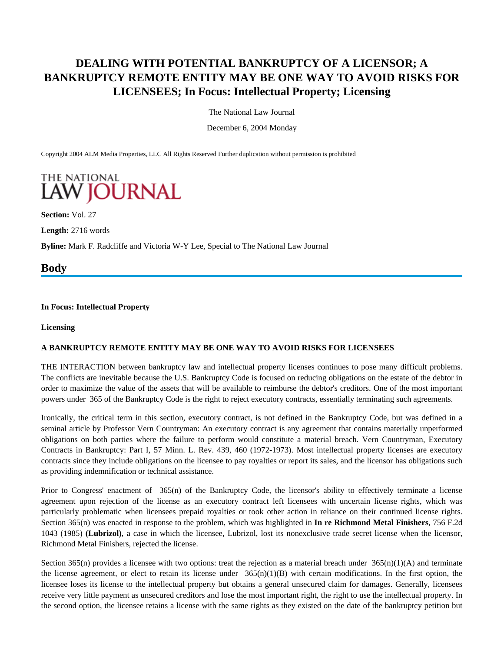# **DEALING WITH POTENTIAL BANKRUPTCY OF A LICENSOR; A BANKRUPTCY REMOTE ENTITY MAY BE ONE WAY TO AVOID RISKS FOR LICENSEES; In Focus: Intellectual Property; Licensing**

The National Law Journal

December 6, 2004 Monday

Copyright 2004 ALM Media Properties, LLC All Rights Reserved Further duplication without permission is prohibited

# **THE NATIONAL LAW JOURNAL**

**Section:** Vol. 27

**Length:** 2716 words

**Byline:** Mark F. Radcliffe and Victoria W-Y Lee, Special to The National Law Journal

**Body**

#### **In Focus: Intellectual Property**

#### **Licensing**

#### **A BANKRUPTCY REMOTE ENTITY MAY BE ONE WAY TO AVOID RISKS FOR LICENSEES**

THE INTERACTION between bankruptcy law and intellectual property licenses continues to pose many difficult problems. The conflicts are inevitable because the U.S. Bankruptcy Code is focused on reducing obligations on the estate of the debtor in order to maximize the value of the assets that will be available to reimburse the debtor's creditors. One of the most important powers under 365 of the Bankruptcy Code is the right to reject executory contracts, essentially terminating such agreements.

Ironically, the critical term in this section, executory contract, is not defined in the Bankruptcy Code, but was defined in a seminal article by Professor Vern Countryman: An executory contract is any agreement that contains materially unperformed obligations on both parties where the failure to perform would constitute a material breach. Vern Countryman, Executory Contracts in Bankruptcy: Part I, 57 Minn. L. Rev. 439, 460 (1972-1973). Most intellectual property licenses are executory contracts since they include obligations on the licensee to pay royalties or report its sales, and the licensor has obligations such as providing indemnification or technical assistance.

Prior to Congress' enactment of 365(n) of the Bankruptcy Code, the licensor's ability to effectively terminate a license agreement upon rejection of the license as an executory contract left licensees with uncertain license rights, which was particularly problematic when licensees prepaid royalties or took other action in reliance on their continued license rights. Section 365(n) was enacted in response to the problem, which was highlighted in **In re Richmond Metal Finishers**, 756 F.2d 1043 (1985) **(Lubrizol)**, a case in which the licensee, Lubrizol, lost its nonexclusive trade secret license when the licensor, Richmond Metal Finishers, rejected the license.

Section 365(n) provides a licensee with two options: treat the rejection as a material breach under  $365(n)(1)(A)$  and terminate the license agreement, or elect to retain its license under  $365(n)(1)(B)$  with certain modifications. In the first option, the licensee loses its license to the intellectual property but obtains a general unsecured claim for damages. Generally, licensees receive very little payment as unsecured creditors and lose the most important right, the right to use the intellectual property. In the second option, the licensee retains a license with the same rights as they existed on the date of the bankruptcy petition but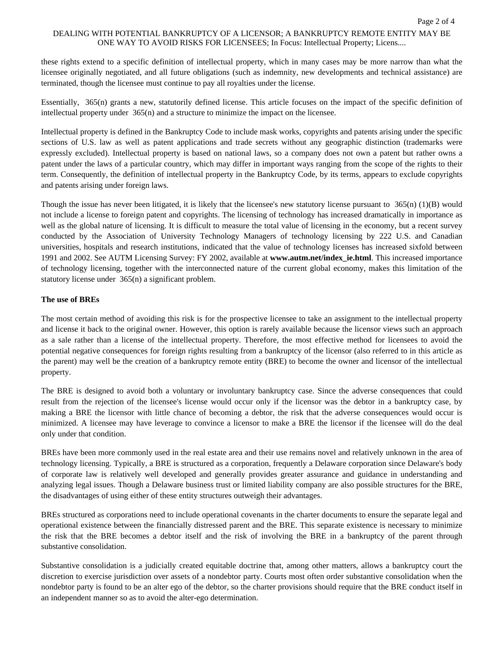# DEALING WITH POTENTIAL BANKRUPTCY OF A LICENSOR; A BANKRUPTCY REMOTE ENTITY MAY BE ONE WAY TO AVOID RISKS FOR LICENSEES; In Focus: Intellectual Property; Licens....

these rights extend to a specific definition of intellectual property, which in many cases may be more narrow than what the licensee originally negotiated, and all future obligations (such as indemnity, new developments and technical assistance) are terminated, though the licensee must continue to pay all royalties under the license.

Essentially, 365(n) grants a new, statutorily defined license. This article focuses on the impact of the specific definition of intellectual property under 365(n) and a structure to minimize the impact on the licensee.

Intellectual property is defined in the Bankruptcy Code to include mask works, copyrights and patents arising under the specific sections of U.S. law as well as patent applications and trade secrets without any geographic distinction (trademarks were expressly excluded). Intellectual property is based on national laws, so a company does not own a patent but rather owns a patent under the laws of a particular country, which may differ in important ways ranging from the scope of the rights to their term. Consequently, the definition of intellectual property in the Bankruptcy Code, by its terms, appears to exclude copyrights and patents arising under foreign laws.

Though the issue has never been litigated, it is likely that the licensee's new statutory license pursuant to 365(n) (1)(B) would not include a license to foreign patent and copyrights. The licensing of technology has increased dramatically in importance as well as the global nature of licensing. It is difficult to measure the total value of licensing in the economy, but a recent survey conducted by the Association of University Technology Managers of technology licensing by 222 U.S. and Canadian universities, hospitals and research institutions, indicated that the value of technology licenses has increased sixfold between 1991 and 2002. See AUTM Licensing Survey: FY 2002, available at **www.autm.net/index\_ie.html**. This increased importance of technology licensing, together with the interconnected nature of the current global economy, makes this limitation of the statutory license under 365(n) a significant problem.

#### **The use of BREs**

The most certain method of avoiding this risk is for the prospective licensee to take an assignment to the intellectual property and license it back to the original owner. However, this option is rarely available because the licensor views such an approach as a sale rather than a license of the intellectual property. Therefore, the most effective method for licensees to avoid the potential negative consequences for foreign rights resulting from a bankruptcy of the licensor (also referred to in this article as the parent) may well be the creation of a bankruptcy remote entity (BRE) to become the owner and licensor of the intellectual property.

The BRE is designed to avoid both a voluntary or involuntary bankruptcy case. Since the adverse consequences that could result from the rejection of the licensee's license would occur only if the licensor was the debtor in a bankruptcy case, by making a BRE the licensor with little chance of becoming a debtor, the risk that the adverse consequences would occur is minimized. A licensee may have leverage to convince a licensor to make a BRE the licensor if the licensee will do the deal only under that condition.

BREs have been more commonly used in the real estate area and their use remains novel and relatively unknown in the area of technology licensing. Typically, a BRE is structured as a corporation, frequently a Delaware corporation since Delaware's body of corporate law is relatively well developed and generally provides greater assurance and guidance in understanding and analyzing legal issues. Though a Delaware business trust or limited liability company are also possible structures for the BRE, the disadvantages of using either of these entity structures outweigh their advantages.

BREs structured as corporations need to include operational covenants in the charter documents to ensure the separate legal and operational existence between the financially distressed parent and the BRE. This separate existence is necessary to minimize the risk that the BRE becomes a debtor itself and the risk of involving the BRE in a bankruptcy of the parent through substantive consolidation.

Substantive consolidation is a judicially created equitable doctrine that, among other matters, allows a bankruptcy court the discretion to exercise jurisdiction over assets of a nondebtor party. Courts most often order substantive consolidation when the nondebtor party is found to be an alter ego of the debtor, so the charter provisions should require that the BRE conduct itself in an independent manner so as to avoid the alter-ego determination.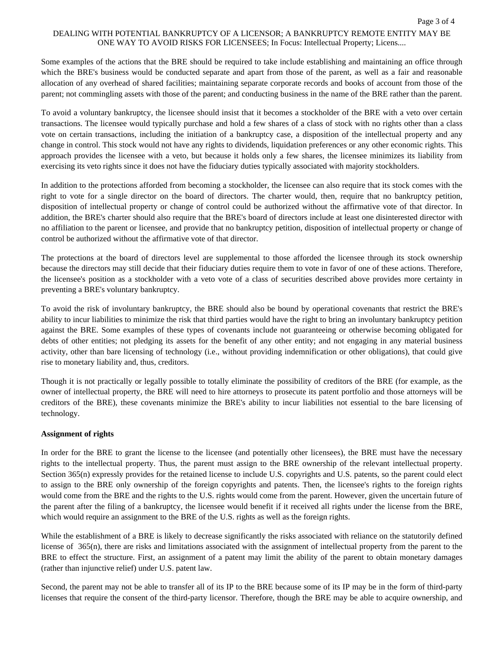# DEALING WITH POTENTIAL BANKRUPTCY OF A LICENSOR; A BANKRUPTCY REMOTE ENTITY MAY BE ONE WAY TO AVOID RISKS FOR LICENSEES; In Focus: Intellectual Property; Licens....

Some examples of the actions that the BRE should be required to take include establishing and maintaining an office through which the BRE's business would be conducted separate and apart from those of the parent, as well as a fair and reasonable allocation of any overhead of shared facilities; maintaining separate corporate records and books of account from those of the parent; not commingling assets with those of the parent; and conducting business in the name of the BRE rather than the parent.

To avoid a voluntary bankruptcy, the licensee should insist that it becomes a stockholder of the BRE with a veto over certain transactions. The licensee would typically purchase and hold a few shares of a class of stock with no rights other than a class vote on certain transactions, including the initiation of a bankruptcy case, a disposition of the intellectual property and any change in control. This stock would not have any rights to dividends, liquidation preferences or any other economic rights. This approach provides the licensee with a veto, but because it holds only a few shares, the licensee minimizes its liability from exercising its veto rights since it does not have the fiduciary duties typically associated with majority stockholders.

In addition to the protections afforded from becoming a stockholder, the licensee can also require that its stock comes with the right to vote for a single director on the board of directors. The charter would, then, require that no bankruptcy petition, disposition of intellectual property or change of control could be authorized without the affirmative vote of that director. In addition, the BRE's charter should also require that the BRE's board of directors include at least one disinterested director with no affiliation to the parent or licensee, and provide that no bankruptcy petition, disposition of intellectual property or change of control be authorized without the affirmative vote of that director.

The protections at the board of directors level are supplemental to those afforded the licensee through its stock ownership because the directors may still decide that their fiduciary duties require them to vote in favor of one of these actions. Therefore, the licensee's position as a stockholder with a veto vote of a class of securities described above provides more certainty in preventing a BRE's voluntary bankruptcy.

To avoid the risk of involuntary bankruptcy, the BRE should also be bound by operational covenants that restrict the BRE's ability to incur liabilities to minimize the risk that third parties would have the right to bring an involuntary bankruptcy petition against the BRE. Some examples of these types of covenants include not guaranteeing or otherwise becoming obligated for debts of other entities; not pledging its assets for the benefit of any other entity; and not engaging in any material business activity, other than bare licensing of technology (i.e., without providing indemnification or other obligations), that could give rise to monetary liability and, thus, creditors.

Though it is not practically or legally possible to totally eliminate the possibility of creditors of the BRE (for example, as the owner of intellectual property, the BRE will need to hire attorneys to prosecute its patent portfolio and those attorneys will be creditors of the BRE), these covenants minimize the BRE's ability to incur liabilities not essential to the bare licensing of technology.

#### **Assignment of rights**

In order for the BRE to grant the license to the licensee (and potentially other licensees), the BRE must have the necessary rights to the intellectual property. Thus, the parent must assign to the BRE ownership of the relevant intellectual property. Section 365(n) expressly provides for the retained license to include U.S. copyrights and U.S. patents, so the parent could elect to assign to the BRE only ownership of the foreign copyrights and patents. Then, the licensee's rights to the foreign rights would come from the BRE and the rights to the U.S. rights would come from the parent. However, given the uncertain future of the parent after the filing of a bankruptcy, the licensee would benefit if it received all rights under the license from the BRE, which would require an assignment to the BRE of the U.S. rights as well as the foreign rights.

While the establishment of a BRE is likely to decrease significantly the risks associated with reliance on the statutorily defined license of 365(n), there are risks and limitations associated with the assignment of intellectual property from the parent to the BRE to effect the structure. First, an assignment of a patent may limit the ability of the parent to obtain monetary damages (rather than injunctive relief) under U.S. patent law.

Second, the parent may not be able to transfer all of its IP to the BRE because some of its IP may be in the form of third-party licenses that require the consent of the third-party licensor. Therefore, though the BRE may be able to acquire ownership, and